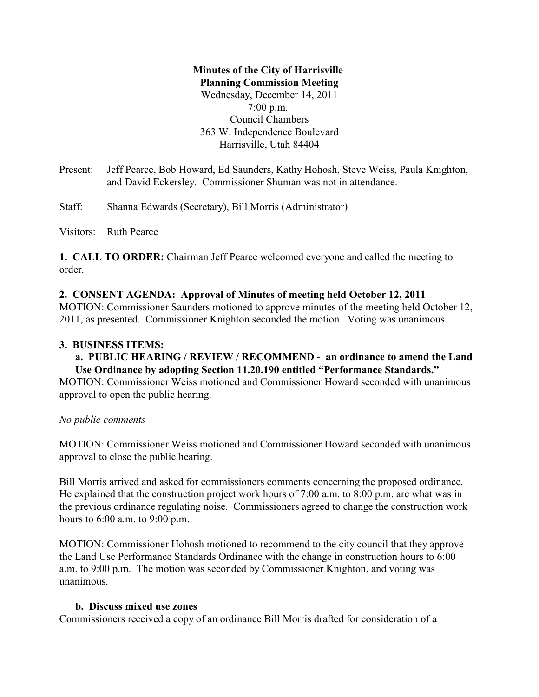# **Minutes of the City of Harrisville Planning Commission Meeting** Wednesday, December 14, 2011 7:00 p.m. Council Chambers 363 W. Independence Boulevard Harrisville, Utah 84404

Present: Jeff Pearce, Bob Howard, Ed Saunders, Kathy Hohosh, Steve Weiss, Paula Knighton, and David Eckersley. Commissioner Shuman was not in attendance.

Staff: Shanna Edwards (Secretary), Bill Morris (Administrator)

Visitors: Ruth Pearce

**1. CALL TO ORDER:** Chairman Jeff Pearce welcomed everyone and called the meeting to order.

### **2. CONSENT AGENDA: Approval of Minutes of meeting held October 12, 2011**

MOTION: Commissioner Saunders motioned to approve minutes of the meeting held October 12, 2011, as presented. Commissioner Knighton seconded the motion. Voting was unanimous.

### **3. BUSINESS ITEMS:**

**a. PUBLIC HEARING / REVIEW / RECOMMEND** - **an ordinance to amend the Land Use Ordinance by adopting Section 11.20.190 entitled "Performance Standards."**

MOTION: Commissioner Weiss motioned and Commissioner Howard seconded with unanimous approval to open the public hearing.

### *No public comments*

MOTION: Commissioner Weiss motioned and Commissioner Howard seconded with unanimous approval to close the public hearing.

Bill Morris arrived and asked for commissioners comments concerning the proposed ordinance. He explained that the construction project work hours of 7:00 a.m. to 8:00 p.m. are what was in the previous ordinance regulating noise. Commissioners agreed to change the construction work hours to 6:00 a.m. to 9:00 p.m.

MOTION: Commissioner Hohosh motioned to recommend to the city council that they approve the Land Use Performance Standards Ordinance with the change in construction hours to 6:00 a.m. to 9:00 p.m. The motion was seconded by Commissioner Knighton, and voting was unanimous.

### **b. Discuss mixed use zones**

Commissioners received a copy of an ordinance Bill Morris drafted for consideration of a